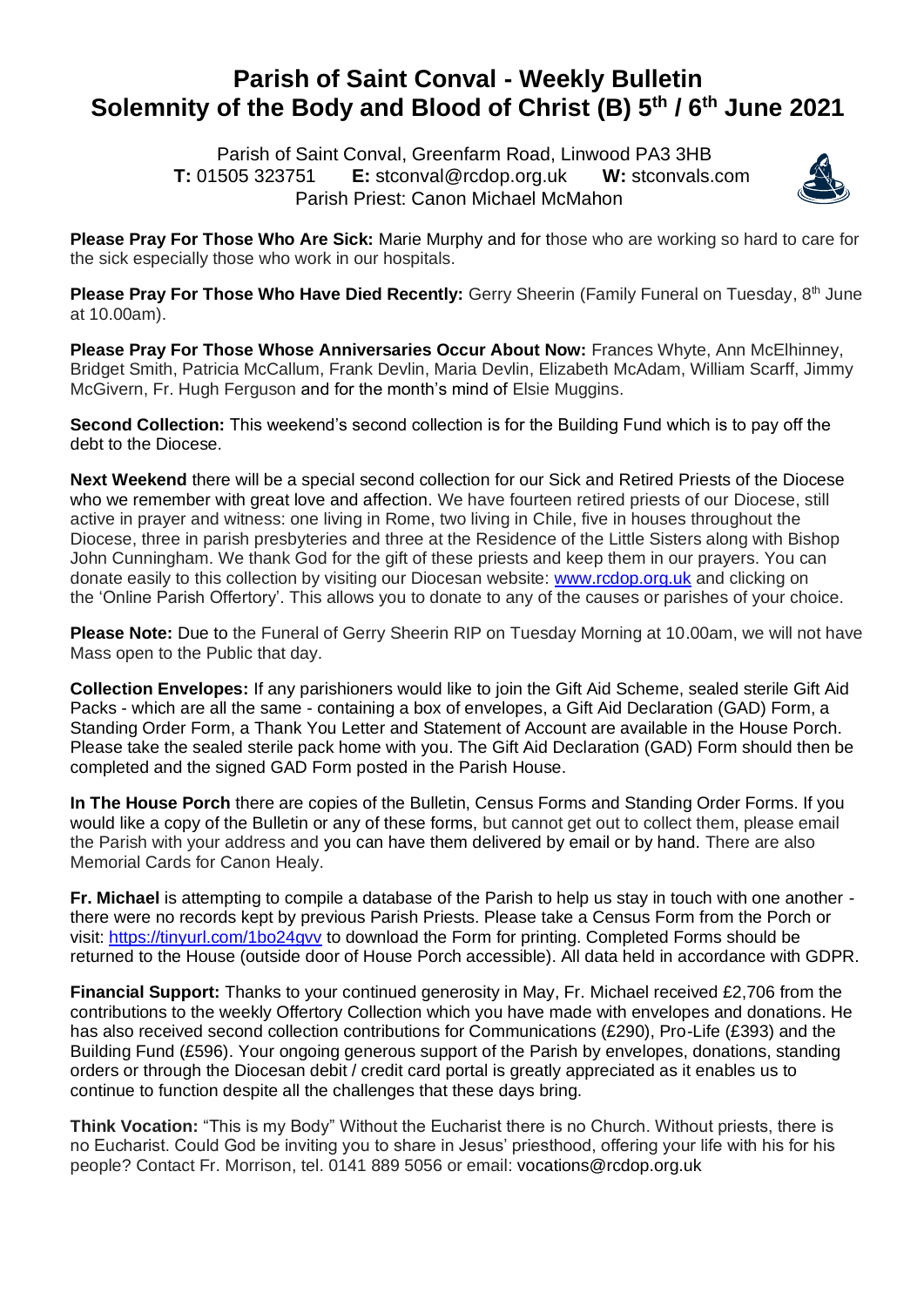## **Parish of Saint Conval - Weekly Bulletin Solemnity of the Body and Blood of Christ (B) 5 th / 6 th June 2021**

 Parish of Saint Conval, Greenfarm Road, Linwood PA3 3HB **T:** 01505 323751 **E:** [stconval@rcdop.org.uk](mailto:stconval@rcdop.org.uk) **W:** stconvals.com Parish Priest: Canon Michael McMahon



**Please Pray For Those Who Are Sick:** Marie Murphy and for those who are working so hard to care for the sick especially those who work in our hospitals.

Please Pray For Those Who Have Died Recently: Gerry Sheerin (Family Funeral on Tuesday, 8<sup>th</sup> June at 10.00am).

**Please Pray For Those Whose Anniversaries Occur About Now:** Frances Whyte, Ann McElhinney, Bridget Smith, Patricia McCallum, Frank Devlin, Maria Devlin, Elizabeth McAdam, William Scarff, Jimmy McGivern, Fr. Hugh Ferguson and for the month's mind of Elsie Muggins.

**Second Collection:** This weekend's second collection is for the Building Fund which is to pay off the debt to the Diocese.

**Next Weekend** there will be a special second collection for our Sick and Retired Priests of the Diocese who we remember with great love and affection. We have fourteen retired priests of our Diocese, still active in prayer and witness: one living in Rome, two living in Chile, five in houses throughout the Diocese, three in parish presbyteries and three at the Residence of the Little Sisters along with Bishop John Cunningham. We thank God for the gift of these priests and keep them in our prayers. You can donate easily to this collection by visiting our Diocesan website: [www.rcdop.org.uk](http://www.rcdop.org.uk/) and clicking on the 'Online Parish Offertory'. This allows you to donate to any of the causes or parishes of your choice.

**Please Note:** Due to the Funeral of Gerry Sheerin RIP on Tuesday Morning at 10.00am, we will not have Mass open to the Public that day.

**Collection Envelopes:** If any parishioners would like to join the Gift Aid Scheme, sealed sterile Gift Aid Packs - which are all the same - containing a box of envelopes, a Gift Aid Declaration (GAD) Form, a Standing Order Form, a Thank You Letter and Statement of Account are available in the House Porch. Please take the sealed sterile pack home with you. The Gift Aid Declaration (GAD) Form should then be completed and the signed GAD Form posted in the Parish House.

**In The House Porch** there are copies of the Bulletin, Census Forms and Standing Order Forms. If you would like a copy of the Bulletin or any of these forms, but cannot get out to collect them, please email the Parish with your address and you can have them delivered by email or by hand. There are also Memorial Cards for Canon Healy.

**Fr. Michael** is attempting to compile a database of the Parish to help us stay in touch with one another there were no records kept by previous Parish Priests. Please take a Census Form from the Porch or visit:<https://tinyurl.com/1bo24gvv> to download the Form for printing. Completed Forms should be returned to the House (outside door of House Porch accessible). All data held in accordance with GDPR.

**Financial Support:** Thanks to your continued generosity in May, Fr. Michael received £2,706 from the contributions to the weekly Offertory Collection which you have made with envelopes and donations. He has also received second collection contributions for Communications (£290), Pro-Life (£393) and the Building Fund (£596). Your ongoing generous support of the Parish by envelopes, donations, standing orders or through the Diocesan debit / credit card portal is greatly appreciated as it enables us to continue to function despite all the challenges that these days bring.

**Think Vocation:** "This is my Body" Without the Eucharist there is no Church. Without priests, there is no Eucharist. Could God be inviting you to share in Jesus' priesthood, offering your life with his for his people? Contact Fr. Morrison, tel. 0141 889 5056 or email: [vocations@rcdop.org.uk](mailto:vocations@rcdop.org.uk)